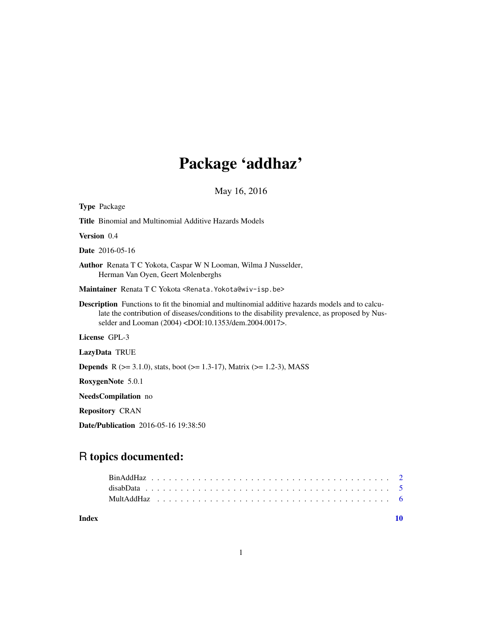# Package 'addhaz'

May 16, 2016

| Type Package                                                                                                                                                                                                                                                                       |
|------------------------------------------------------------------------------------------------------------------------------------------------------------------------------------------------------------------------------------------------------------------------------------|
| <b>Title</b> Binomial and Multinomial Additive Hazards Models                                                                                                                                                                                                                      |
| <b>Version</b> 0.4                                                                                                                                                                                                                                                                 |
| <b>Date</b> 2016-05-16                                                                                                                                                                                                                                                             |
| <b>Author</b> Renata T C Yokota, Caspar W N Looman, Wilma J Nusselder,<br>Herman Van Oyen, Geert Molenberghs                                                                                                                                                                       |
| Maintainer Renata T C Yokota <renata. yokota@wiv-isp.be=""></renata.>                                                                                                                                                                                                              |
| <b>Description</b> Functions to fit the binomial and multinomial additive hazards models and to calcu-<br>late the contribution of diseases/conditions to the disability prevalence, as proposed by Nus-<br>selder and Looman (2004) <doi:10.1353 dem.2004.0017="">.</doi:10.1353> |
| License GPL-3                                                                                                                                                                                                                                                                      |
| <b>LazyData TRUE</b>                                                                                                                                                                                                                                                               |
| <b>Depends</b> R ( $> = 3.1.0$ ), stats, boot ( $> = 1.3-17$ ), Matrix ( $> = 1.2-3$ ), MASS                                                                                                                                                                                       |
| RoxygenNote 5.0.1                                                                                                                                                                                                                                                                  |
| <b>NeedsCompilation</b> no                                                                                                                                                                                                                                                         |
| <b>Repository CRAN</b>                                                                                                                                                                                                                                                             |
|                                                                                                                                                                                                                                                                                    |

Date/Publication 2016-05-16 19:38:50

# R topics documented:

 $\blacksquare$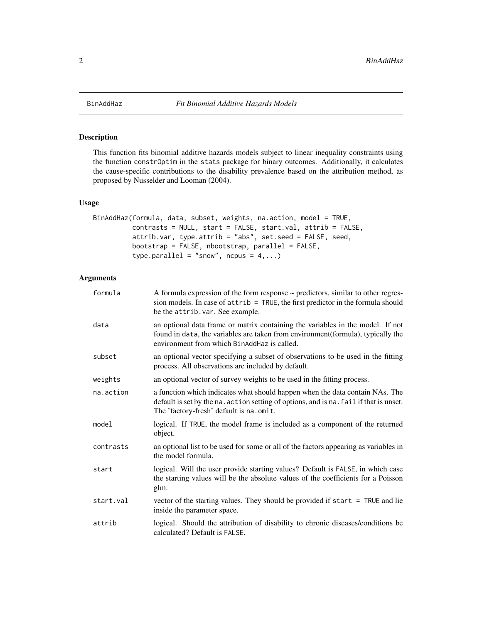## Description

This function fits binomial additive hazards models subject to linear inequality constraints using the function constrOptim in the stats package for binary outcomes. Additionally, it calculates the cause-specific contributions to the disability prevalence based on the attribution method, as proposed by Nusselder and Looman (2004).

# Usage

```
BinAddHaz(formula, data, subset, weights, na.action, model = TRUE,
          contrasts = NULL, start = FALSE, start.val, attrib = FALSE,
          attrib.var, type.attrib = "abs", set.seed = FALSE, seed,
         bootstrap = FALSE, nbootstrap, parallel = FALSE,
          type.parallel = "snow", ncpus = 4,...)
```
# Arguments

| formula   | A formula expression of the form response $\sim$ predictors, similar to other regres-<br>sion models. In case of attrib = TRUE, the first predictor in the formula should<br>be the attrib. var. See example.     |
|-----------|-------------------------------------------------------------------------------------------------------------------------------------------------------------------------------------------------------------------|
| data      | an optional data frame or matrix containing the variables in the model. If not<br>found in data, the variables are taken from environment (formula), typically the<br>environment from which BinAddHaz is called. |
| subset    | an optional vector specifying a subset of observations to be used in the fitting<br>process. All observations are included by default.                                                                            |
| weights   | an optional vector of survey weights to be used in the fitting process.                                                                                                                                           |
| na.action | a function which indicates what should happen when the data contain NAs. The<br>default is set by the na. action setting of options, and is na. fail if that is unset.<br>The 'factory-fresh' default is na.omit. |
| model     | logical. If TRUE, the model frame is included as a component of the returned<br>object.                                                                                                                           |
| contrasts | an optional list to be used for some or all of the factors appearing as variables in<br>the model formula.                                                                                                        |
| start     | logical. Will the user provide starting values? Default is FALSE, in which case<br>the starting values will be the absolute values of the coefficients for a Poisson<br>glm.                                      |
| start.val | vector of the starting values. They should be provided if start = TRUE and lie<br>inside the parameter space.                                                                                                     |
| attrib    | logical. Should the attribution of disability to chronic diseases/conditions be<br>calculated? Default is FALSE.                                                                                                  |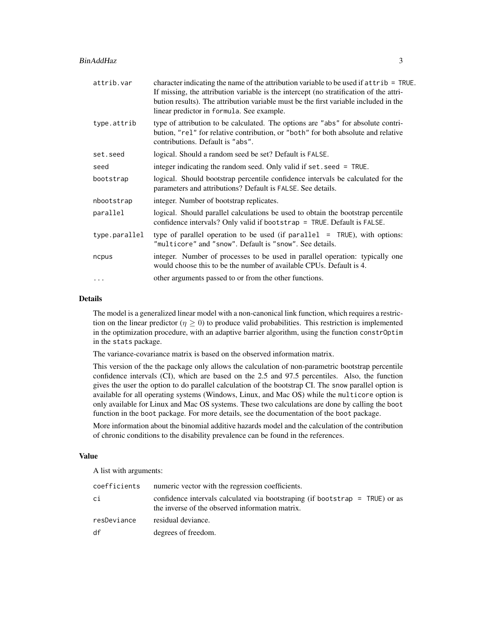| attrib.var    | character indicating the name of the attribution variable to be used if attrib = TRUE.<br>If missing, the attribution variable is the intercept (no stratification of the attri-<br>bution results). The attribution variable must be the first variable included in the<br>linear predictor in formula. See example. |
|---------------|-----------------------------------------------------------------------------------------------------------------------------------------------------------------------------------------------------------------------------------------------------------------------------------------------------------------------|
| type.attrib   | type of attribution to be calculated. The options are "abs" for absolute contri-<br>bution, "rel" for relative contribution, or "both" for both absolute and relative<br>contributions. Default is "abs".                                                                                                             |
| set.seed      | logical. Should a random seed be set? Default is FALSE.                                                                                                                                                                                                                                                               |
| seed          | integer indicating the random seed. Only valid if set seed = TRUE.                                                                                                                                                                                                                                                    |
| bootstrap     | logical. Should bootstrap percentile confidence intervals be calculated for the<br>parameters and attributions? Default is FALSE. See details.                                                                                                                                                                        |
| nbootstrap    | integer. Number of bootstrap replicates.                                                                                                                                                                                                                                                                              |
| parallel      | logical. Should parallel calculations be used to obtain the bootstrap percentile<br>confidence intervals? Only valid if bootstrap = TRUE. Default is FALSE.                                                                                                                                                           |
| type.parallel | type of parallel operation to be used (if parallel $=$ TRUE), with options:<br>"multicore" and "snow". Default is "snow". See details.                                                                                                                                                                                |
| ncpus         | integer. Number of processes to be used in parallel operation: typically one<br>would choose this to be the number of available CPUs. Default is 4.                                                                                                                                                                   |
| $\ddotsc$     | other arguments passed to or from the other functions.                                                                                                                                                                                                                                                                |

# Details

The model is a generalized linear model with a non-canonical link function, which requires a restriction on the linear predictor ( $\eta \ge 0$ ) to produce valid probabilities. This restriction is implemented in the optimization procedure, with an adaptive barrier algorithm, using the function constrOptim in the stats package.

The variance-covariance matrix is based on the observed information matrix.

This version of the the package only allows the calculation of non-parametric bootstrap percentile confidence intervals (CI), which are based on the 2.5 and 97.5 percentiles. Also, the function gives the user the option to do parallel calculation of the bootstrap CI. The snow parallel option is available for all operating systems (Windows, Linux, and Mac OS) while the multicore option is only available for Linux and Mac OS systems. These two calculations are done by calling the boot function in the boot package. For more details, see the documentation of the boot package.

More information about the binomial additive hazards model and the calculation of the contribution of chronic conditions to the disability prevalence can be found in the references.

# Value

A list with arguments:

| coefficients | numeric vector with the regression coefficients.                                                                                |
|--------------|---------------------------------------------------------------------------------------------------------------------------------|
| сi           | confidence intervals calculated via bootstraping (if bootstrap = TRUE) or as<br>the inverse of the observed information matrix. |
| resDeviance  | residual deviance.                                                                                                              |
| df           | degrees of freedom.                                                                                                             |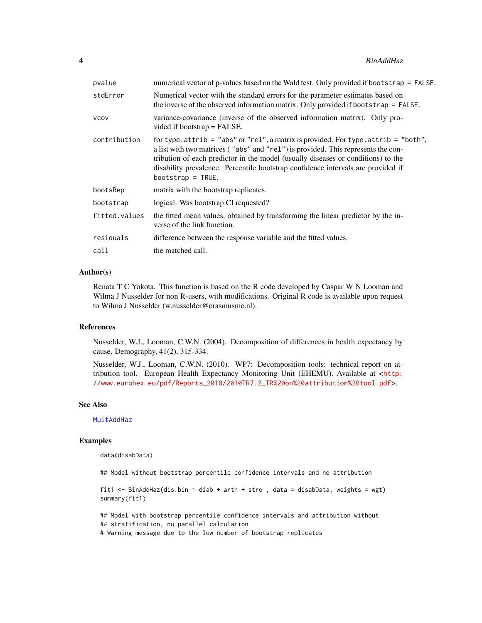<span id="page-3-0"></span>

| pvalue        | numerical vector of p-values based on the Wald test. Only provided if bootstrap = FALSE.                                                                                                                                                                                                                                                                                         |
|---------------|----------------------------------------------------------------------------------------------------------------------------------------------------------------------------------------------------------------------------------------------------------------------------------------------------------------------------------------------------------------------------------|
| stdError      | Numerical vector with the standard errors for the parameter estimates based on<br>the inverse of the observed information matrix. Only provided if bootstrap = FALSE.                                                                                                                                                                                                            |
| <b>VCOV</b>   | variance-covariance (inverse of the observed information matrix). Only pro-<br>vided if bootstrap $=$ FALSE.                                                                                                                                                                                                                                                                     |
| contribution  | for type. $attribute = "abs"$ or "rel", a matrix is provided. For type. $attribute = "both",$<br>a list with two matrices ("abs" and "rel") is provided. This represents the con-<br>tribution of each predictor in the model (usually diseases or conditions) to the<br>disability prevalence. Percentile bootstrap confidence intervals are provided if<br>$bootstrap = TRUE.$ |
| bootsRep      | matrix with the bootstrap replicates.                                                                                                                                                                                                                                                                                                                                            |
| bootstrap     | logical. Was bootstrap CI requested?                                                                                                                                                                                                                                                                                                                                             |
| fitted.values | the fitted mean values, obtained by transforming the linear predictor by the in-<br>verse of the link function.                                                                                                                                                                                                                                                                  |
| residuals     | difference between the response variable and the fitted values.                                                                                                                                                                                                                                                                                                                  |
| call          | the matched call.                                                                                                                                                                                                                                                                                                                                                                |

# Author(s)

Renata T C Yokota. This function is based on the R code developed by Caspar W N Looman and Wilma J Nusselder for non R-users, with modifications. Original R code is available upon request to Wilma J Nusselder (w.nusselder@erasmusmc.nl).

#### References

Nusselder, W.J., Looman, C.W.N. (2004). Decomposition of differences in health expectancy by cause. Demography, 41(2), 315-334.

Nusselder, W.J., Looman, C.W.N. (2010). WP7: Decomposition tools: technical report on attribution tool. European Health Expectancy Monitoring Unit (EHEMU). Available at <[http:](http://www.eurohex.eu/pdf/Reports_2010/2010TR7.2_TR%20on%20attribution%20tool.pdf) [//www.eurohex.eu/pdf/Reports\\_2010/2010TR7.2\\_TR%20on%20attribution%20tool.pdf](http://www.eurohex.eu/pdf/Reports_2010/2010TR7.2_TR%20on%20attribution%20tool.pdf)>.

## See Also

**[MultAddHaz](#page-5-1)** 

# Examples

data(disabData)

## Model without bootstrap percentile confidence intervals and no attribution

```
fit1 <- BinAddHaz(dis.bin ~ diab + arth + stro , data = disabData, weights = wgt)
summary(fit1)
```
## Model with bootstrap percentile confidence intervals and attribution without ## stratification, no parallel calculation # Warning message due to the low number of bootstrap replicates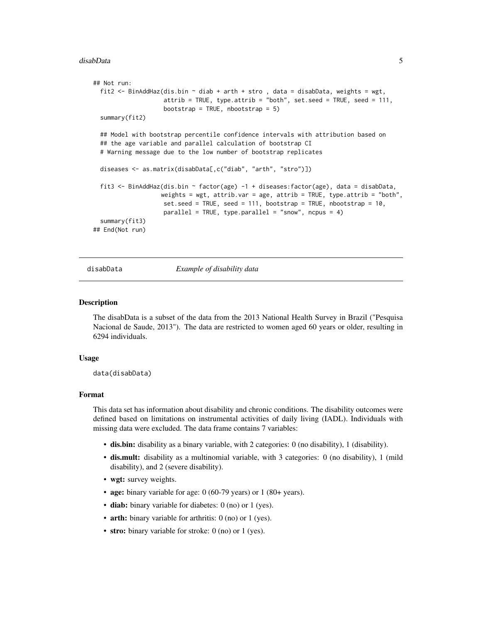#### <span id="page-4-0"></span>disabData 5

```
## Not run:
 fit2 <- BinAddHaz(dis.bin ~ diab + arth + stro , data = disabData, weights = wgt,
                    attrib = TRUE, type.attrib = "both", set.seed = TRUE, seed = 111,
                   bootstrap = TRUE, nbootstrap = 5)
 summary(fit2)
 ## Model with bootstrap percentile confidence intervals with attribution based on
 ## the age variable and parallel calculation of bootstrap CI
 # Warning message due to the low number of bootstrap replicates
 diseases <- as.matrix(disabData[,c("diab", "arth", "stro")])
 fit3 <- BinAddHaz(dis.bin ~ factor(age) -1 + diseases:factor(age), data = disabData,
                   weights = wgt, attrib.var = age, attrib = TRUE, type.attrib = "both",
                   set.seed = TRUE, seed = 111, bootstrap = TRUE, nbootstrap = 10,
                    parallel = TRUE, type.parallel = "snow", ncpus = 4)
 summary(fit3)
## End(Not run)
```
disabData *Example of disability data*

#### Description

The disabData is a subset of the data from the 2013 National Health Survey in Brazil ("Pesquisa Nacional de Saude, 2013"). The data are restricted to women aged 60 years or older, resulting in 6294 individuals.

#### Usage

data(disabData)

#### Format

This data set has information about disability and chronic conditions. The disability outcomes were defined based on limitations on instrumental activities of daily living (IADL). Individuals with missing data were excluded. The data frame contains 7 variables:

- dis.bin: disability as a binary variable, with 2 categories: 0 (no disability), 1 (disability).
- dis.mult: disability as a multinomial variable, with 3 categories: 0 (no disability), 1 (mild disability), and 2 (severe disability).
- wgt: survey weights.
- age: binary variable for age: 0 (60-79 years) or 1 (80+ years).
- diab: binary variable for diabetes: 0 (no) or 1 (yes).
- arth: binary variable for arthritis: 0 (no) or 1 (yes).
- stro: binary variable for stroke: 0 (no) or 1 (yes).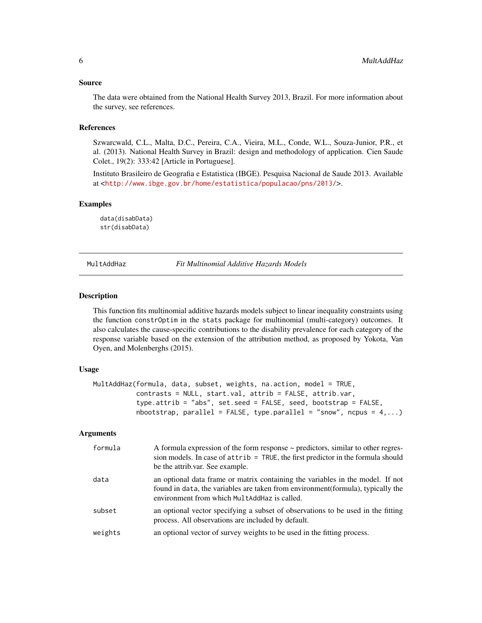#### <span id="page-5-0"></span>Source

The data were obtained from the National Health Survey 2013, Brazil. For more information about the survey, see references.

#### References

Szwarcwald, C.L., Malta, D.C., Pereira, C.A., Vieira, M.L., Conde, W.L., Souza-Junior, P.R., et al. (2013). National Health Survey in Brazil: design and methodology of application. Cien Saude Colet., 19(2): 333:42 [Article in Portuguese].

Instituto Brasileiro de Geografia e Estatistica (IBGE). Pesquisa Nacional de Saude 2013. Available at <<http://www.ibge.gov.br/home/estatistica/populacao/pns/2013/>>.

# Examples

data(disabData) str(disabData)

<span id="page-5-1"></span>MultAddHaz *Fit Multinomial Additive Hazards Models*

#### **Description**

This function fits multinomial additive hazards models subject to linear inequality constraints using the function constrOptim in the stats package for multinomial (multi-category) outcomes. It also calculates the cause-specific contributions to the disability prevalence for each category of the response variable based on the extension of the attribution method, as proposed by Yokota, Van Oyen, and Molenberghs (2015).

#### Usage

```
MultAddHaz(formula, data, subset, weights, na.action, model = TRUE,
           contrasts = NULL, start.val, attrib = FALSE, attrib.var,
           type.attrib = "abs", set.seed = FALSE, seed, bootstrap = FALSE,
           nbootstrap, parallel = FALSE, type.parallel = "snow", ncpus = 4,...)
```
#### Arguments

| formula | A formula expression of the form response $\sim$ predictors, similar to other regres-<br>sion models. In case of $attribute = TRUE$ , the first predictor in the formula should<br>be the attrib.var. See example. |
|---------|--------------------------------------------------------------------------------------------------------------------------------------------------------------------------------------------------------------------|
| data    | an optional data frame or matrix containing the variables in the model. If not<br>found in data, the variables are taken from environment (formula), typically the<br>environment from which MultAddHaz is called. |
| subset  | an optional vector specifying a subset of observations to be used in the fitting<br>process. All observations are included by default.                                                                             |
| weights | an optional vector of survey weights to be used in the fitting process.                                                                                                                                            |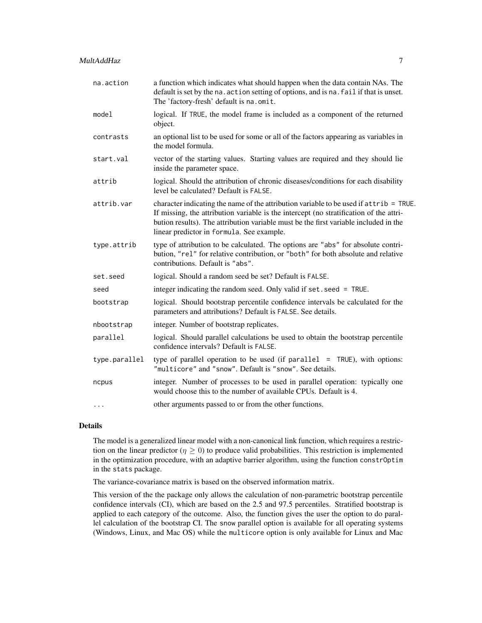| na.action     | a function which indicates what should happen when the data contain NAs. The<br>default is set by the na. action setting of options, and is na. fail if that is unset.<br>The 'factory-fresh' default is na.omit.                                                                                                     |
|---------------|-----------------------------------------------------------------------------------------------------------------------------------------------------------------------------------------------------------------------------------------------------------------------------------------------------------------------|
| model         | logical. If TRUE, the model frame is included as a component of the returned<br>object.                                                                                                                                                                                                                               |
| contrasts     | an optional list to be used for some or all of the factors appearing as variables in<br>the model formula.                                                                                                                                                                                                            |
| start.val     | vector of the starting values. Starting values are required and they should lie<br>inside the parameter space.                                                                                                                                                                                                        |
| attrib        | logical. Should the attribution of chronic diseases/conditions for each disability<br>level be calculated? Default is FALSE.                                                                                                                                                                                          |
| attrib.var    | character indicating the name of the attribution variable to be used if attrib = TRUE.<br>If missing, the attribution variable is the intercept (no stratification of the attri-<br>bution results). The attribution variable must be the first variable included in the<br>linear predictor in formula. See example. |
| type.attrib   | type of attribution to be calculated. The options are "abs" for absolute contri-<br>bution, "rel" for relative contribution, or "both" for both absolute and relative<br>contributions. Default is "abs".                                                                                                             |
| set.seed      | logical. Should a random seed be set? Default is FALSE.                                                                                                                                                                                                                                                               |
| seed          | integer indicating the random seed. Only valid if set. seed = TRUE.                                                                                                                                                                                                                                                   |
| bootstrap     | logical. Should bootstrap percentile confidence intervals be calculated for the<br>parameters and attributions? Default is FALSE. See details.                                                                                                                                                                        |
| nbootstrap    | integer. Number of bootstrap replicates.                                                                                                                                                                                                                                                                              |
| parallel      | logical. Should parallel calculations be used to obtain the bootstrap percentile<br>confidence intervals? Default is FALSE.                                                                                                                                                                                           |
| type.parallel | type of parallel operation to be used (if parallel $=$ TRUE), with options:<br>"multicore" and "snow". Default is "snow". See details.                                                                                                                                                                                |
| ncpus         | integer. Number of processes to be used in parallel operation: typically one<br>would choose this to the number of available CPUs. Default is 4.                                                                                                                                                                      |
| $\cdots$      | other arguments passed to or from the other functions.                                                                                                                                                                                                                                                                |

# Details

The model is a generalized linear model with a non-canonical link function, which requires a restriction on the linear predictor ( $\eta \ge 0$ ) to produce valid probabilities. This restriction is implemented in the optimization procedure, with an adaptive barrier algorithm, using the function constrOptim in the stats package.

The variance-covariance matrix is based on the observed information matrix.

This version of the the package only allows the calculation of non-parametric bootstrap percentile confidence intervals (CI), which are based on the 2.5 and 97.5 percentiles. Stratified bootstrap is applied to each category of the outcome. Also, the function gives the user the option to do parallel calculation of the bootstrap CI. The snow parallel option is available for all operating systems (Windows, Linux, and Mac OS) while the multicore option is only available for Linux and Mac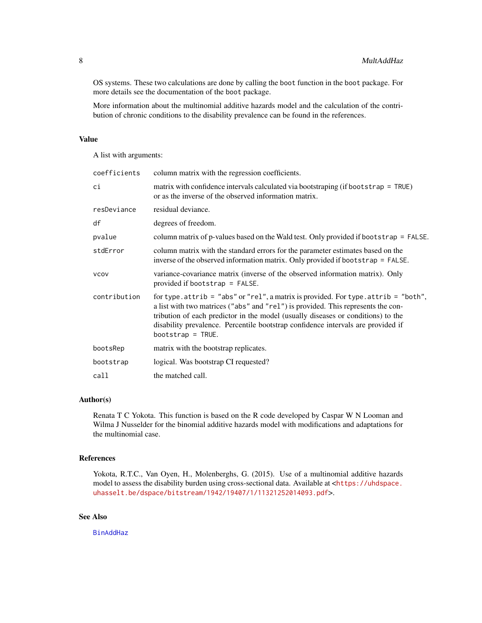<span id="page-7-0"></span>OS systems. These two calculations are done by calling the boot function in the boot package. For more details see the documentation of the boot package.

More information about the multinomial additive hazards model and the calculation of the contribution of chronic conditions to the disability prevalence can be found in the references.

# Value

A list with arguments:

| coefficients | column matrix with the regression coefficients.                                                                                                                                                                                                                                                                                                                         |
|--------------|-------------------------------------------------------------------------------------------------------------------------------------------------------------------------------------------------------------------------------------------------------------------------------------------------------------------------------------------------------------------------|
| сi           | matrix with confidence intervals calculated via bootstraping (if bootstrap = TRUE)<br>or as the inverse of the observed information matrix.                                                                                                                                                                                                                             |
| resDeviance  | residual deviance.                                                                                                                                                                                                                                                                                                                                                      |
| df           | degrees of freedom.                                                                                                                                                                                                                                                                                                                                                     |
| pvalue       | column matrix of p-values based on the Wald test. Only provided if bootstrap = FALSE.                                                                                                                                                                                                                                                                                   |
| stdError     | column matrix with the standard errors for the parameter estimates based on the<br>inverse of the observed information matrix. Only provided if bootstrap $=$ FALSE.                                                                                                                                                                                                    |
| <b>VCOV</b>  | variance-covariance matrix (inverse of the observed information matrix). Only<br>provided if bootstrap $=$ FALSE.                                                                                                                                                                                                                                                       |
| contribution | for type. attrib = "abs" or "rel", a matrix is provided. For type. attrib = "both",<br>a list with two matrices ("abs" and "rel") is provided. This represents the con-<br>tribution of each predictor in the model (usually diseases or conditions) to the<br>disability prevalence. Percentile bootstrap confidence intervals are provided if<br>bootstrap = $TRUE$ . |
| bootsRep     | matrix with the bootstrap replicates.                                                                                                                                                                                                                                                                                                                                   |
| bootstrap    | logical. Was bootstrap CI requested?                                                                                                                                                                                                                                                                                                                                    |
| call         | the matched call.                                                                                                                                                                                                                                                                                                                                                       |

#### Author(s)

Renata T C Yokota. This function is based on the R code developed by Caspar W N Looman and Wilma J Nusselder for the binomial additive hazards model with modifications and adaptations for the multinomial case.

# References

Yokota, R.T.C., Van Oyen, H., Molenberghs, G. (2015). Use of a multinomial additive hazards model to assess the disability burden using cross-sectional data. Available at <[https://uhdspace.](https://uhdspace.uhasselt.be/dspace/bitstream/1942/19407/1/11321252014093.pdf) [uhasselt.be/dspace/bitstream/1942/19407/1/11321252014093.pdf](https://uhdspace.uhasselt.be/dspace/bitstream/1942/19407/1/11321252014093.pdf)>.

# See Also

[BinAddHaz](#page-1-1)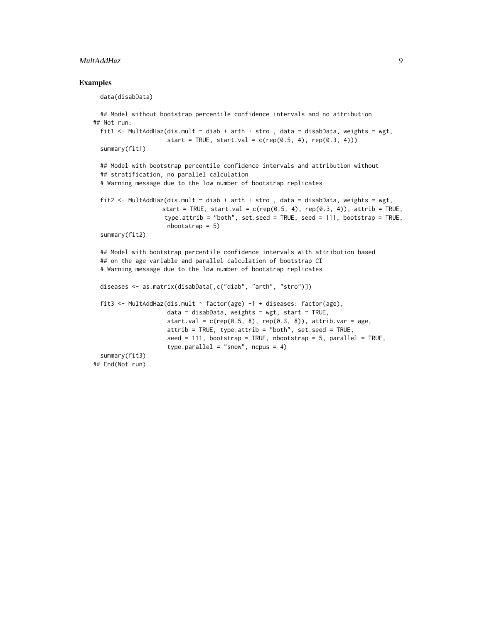#### MultAddHaz 9

#### Examples

data(disabData)

```
## Model without bootstrap percentile confidence intervals and no attribution
## Not run:
 fit1 <- MultAddHaz(dis.mult \sim diab + arth + stro, data = disabData, weights = wgt,
                    start = TRUE, start.val = c(rep(0.5, 4), rep(0.3, 4)))summary(fit1)
 ## Model with bootstrap percentile confidence intervals and attribution without
 ## stratification, no parallel calculation
 # Warning message due to the low number of bootstrap replicates
 fit2 <- MultAddHaz(dis.mult \sim diab + arth + stro, data = disabData, weights = wgt,
                   start = TRUE, start.val = c(rep(0.5, 4), rep(0.3, 4)), attrib = TRUE,
                    type.attrib = "both", set.seed = TRUE, seed = 111, bootstrap = TRUE,
                    nbootstrap = 5)
 summary(fit2)
 ## Model with bootstrap percentile confidence intervals with attribution based
 ## on the age variable and parallel calculation of bootstrap CI
 # Warning message due to the low number of bootstrap replicates
 diseases <- as.matrix(disabData[,c("diab", "arth", "stro")])
 fit3 <- MultAddHaz(dis.mult ~ factor(age) -1 + diseases: factor(age),
                    data = disabData, weights = wgt, start = TRUE,
                    start.val = c(rep(0.5, 8), rep(0.3, 8)), attrib.var = age,
                    attrib = TRUE, type.attrib = "both", set.seed = TRUE,
                    seed = 111, bootstrap = TRUE, nbootstrap = 5, parallel = TRUE,
                     type.parallel = "snow", ncpus = 4)
 summary(fit3)
## End(Not run)
```